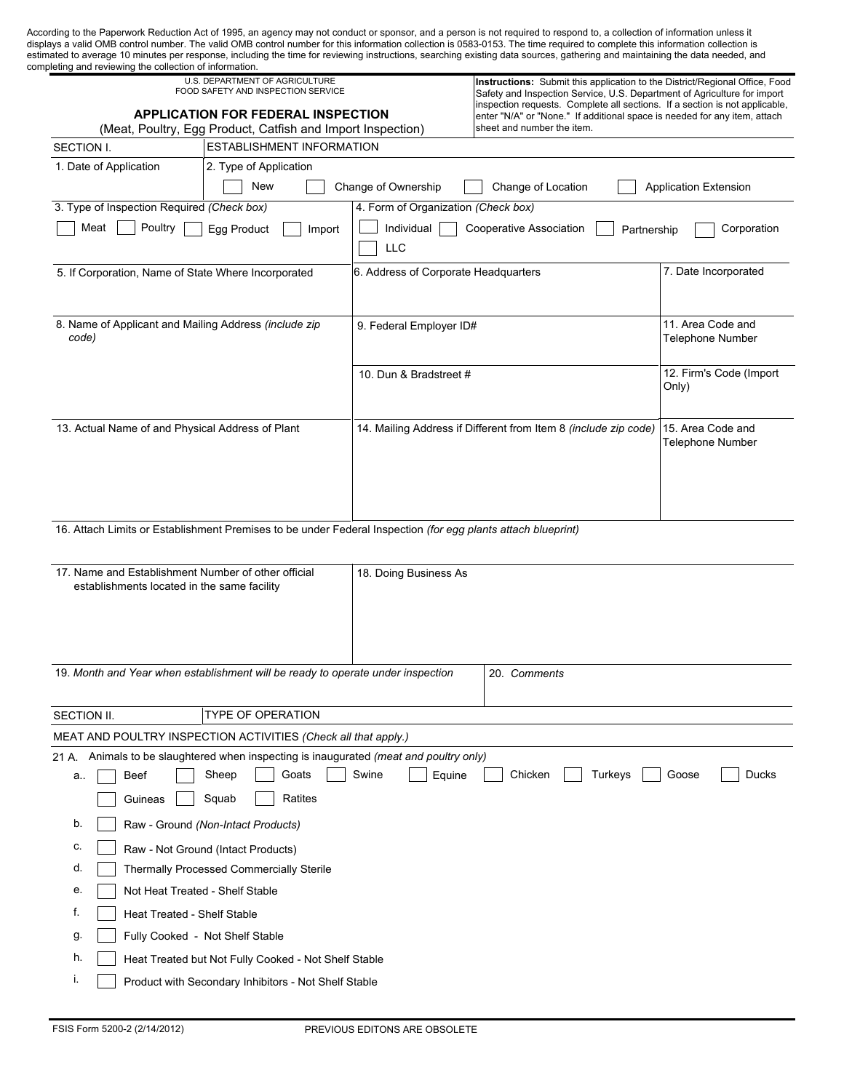| estimated to average 10 minutes per response, including the time for reviewing instructions, searching existing data sources, gathering and maintaining the data needed, and<br>completing and reviewing the collection of information. | U.S. DEPARTMENT OF AGRICULTURE                                                                               |                                     |                                                                                                                                                          |                                                                                                                                                         |  |  |
|-----------------------------------------------------------------------------------------------------------------------------------------------------------------------------------------------------------------------------------------|--------------------------------------------------------------------------------------------------------------|-------------------------------------|----------------------------------------------------------------------------------------------------------------------------------------------------------|---------------------------------------------------------------------------------------------------------------------------------------------------------|--|--|
|                                                                                                                                                                                                                                         | FOOD SAFETY AND INSPECTION SERVICE                                                                           |                                     |                                                                                                                                                          | Instructions: Submit this application to the District/Regional Office, Food<br>Safety and Inspection Service, U.S. Department of Agriculture for import |  |  |
|                                                                                                                                                                                                                                         | <b>APPLICATION FOR FEDERAL INSPECTION</b>                                                                    |                                     | inspection requests. Complete all sections. If a section is not applicable,<br>enter "N/A" or "None." If additional space is needed for any item, attach |                                                                                                                                                         |  |  |
|                                                                                                                                                                                                                                         | (Meat, Poultry, Egg Product, Catfish and Import Inspection)                                                  | sheet and number the item.          |                                                                                                                                                          |                                                                                                                                                         |  |  |
| SECTION I.                                                                                                                                                                                                                              | ESTABLISHMENT INFORMATION                                                                                    |                                     |                                                                                                                                                          |                                                                                                                                                         |  |  |
| 1. Date of Application                                                                                                                                                                                                                  | 2. Type of Application                                                                                       |                                     |                                                                                                                                                          |                                                                                                                                                         |  |  |
|                                                                                                                                                                                                                                         | New                                                                                                          | Change of Ownership                 | Change of Location                                                                                                                                       | <b>Application Extension</b>                                                                                                                            |  |  |
| 3. Type of Inspection Required (Check box)                                                                                                                                                                                              |                                                                                                              | 4. Form of Organization (Check box) |                                                                                                                                                          |                                                                                                                                                         |  |  |
| Poultry<br>Meat                                                                                                                                                                                                                         | Egg Product<br>Import                                                                                        | Individual<br><b>LLC</b>            | Cooperative Association<br>Partnership                                                                                                                   | Corporation                                                                                                                                             |  |  |
| 5. If Corporation, Name of State Where Incorporated                                                                                                                                                                                     |                                                                                                              |                                     | 6. Address of Corporate Headquarters                                                                                                                     |                                                                                                                                                         |  |  |
|                                                                                                                                                                                                                                         |                                                                                                              |                                     |                                                                                                                                                          |                                                                                                                                                         |  |  |
|                                                                                                                                                                                                                                         | 8. Name of Applicant and Mailing Address (include zip                                                        | 9. Federal Employer ID#             |                                                                                                                                                          | 11. Area Code and                                                                                                                                       |  |  |
| code)                                                                                                                                                                                                                                   |                                                                                                              |                                     |                                                                                                                                                          | <b>Telephone Number</b>                                                                                                                                 |  |  |
|                                                                                                                                                                                                                                         |                                                                                                              | 10. Dun & Bradstreet #              |                                                                                                                                                          | 12. Firm's Code (Import                                                                                                                                 |  |  |
|                                                                                                                                                                                                                                         |                                                                                                              |                                     |                                                                                                                                                          | Only)                                                                                                                                                   |  |  |
|                                                                                                                                                                                                                                         | 13. Actual Name of and Physical Address of Plant                                                             |                                     | 14. Mailing Address if Different from Item 8 (include zip code)                                                                                          | 15. Area Code and                                                                                                                                       |  |  |
|                                                                                                                                                                                                                                         |                                                                                                              |                                     |                                                                                                                                                          | <b>Telephone Number</b>                                                                                                                                 |  |  |
|                                                                                                                                                                                                                                         |                                                                                                              |                                     |                                                                                                                                                          |                                                                                                                                                         |  |  |
|                                                                                                                                                                                                                                         |                                                                                                              |                                     |                                                                                                                                                          |                                                                                                                                                         |  |  |
|                                                                                                                                                                                                                                         |                                                                                                              |                                     |                                                                                                                                                          |                                                                                                                                                         |  |  |
|                                                                                                                                                                                                                                         | 16. Attach Limits or Establishment Premises to be under Federal Inspection (for egg plants attach blueprint) |                                     |                                                                                                                                                          |                                                                                                                                                         |  |  |
|                                                                                                                                                                                                                                         |                                                                                                              |                                     |                                                                                                                                                          |                                                                                                                                                         |  |  |
|                                                                                                                                                                                                                                         | 17. Name and Establishment Number of other official                                                          | 18. Doing Business As               |                                                                                                                                                          |                                                                                                                                                         |  |  |
| establishments located in the same facility                                                                                                                                                                                             |                                                                                                              |                                     |                                                                                                                                                          |                                                                                                                                                         |  |  |
|                                                                                                                                                                                                                                         |                                                                                                              |                                     |                                                                                                                                                          |                                                                                                                                                         |  |  |
|                                                                                                                                                                                                                                         |                                                                                                              |                                     |                                                                                                                                                          |                                                                                                                                                         |  |  |
|                                                                                                                                                                                                                                         |                                                                                                              |                                     |                                                                                                                                                          |                                                                                                                                                         |  |  |
|                                                                                                                                                                                                                                         | 19. Month and Year when establishment will be ready to operate under inspection                              |                                     | 20. Comments                                                                                                                                             |                                                                                                                                                         |  |  |
| SECTION II.                                                                                                                                                                                                                             | TYPE OF OPERATION                                                                                            |                                     |                                                                                                                                                          |                                                                                                                                                         |  |  |
|                                                                                                                                                                                                                                         | MEAT AND POULTRY INSPECTION ACTIVITIES (Check all that apply.)                                               |                                     |                                                                                                                                                          |                                                                                                                                                         |  |  |
|                                                                                                                                                                                                                                         |                                                                                                              |                                     |                                                                                                                                                          |                                                                                                                                                         |  |  |
|                                                                                                                                                                                                                                         |                                                                                                              |                                     | Chicken<br>Turkeys                                                                                                                                       | Ducks<br>Goose                                                                                                                                          |  |  |
| 21 A. Animals to be slaughtered when inspecting is inaugurated (meat and poultry only)<br>Beef<br>a                                                                                                                                     | Sheep<br>Goats                                                                                               | Swine<br>Equine                     |                                                                                                                                                          |                                                                                                                                                         |  |  |
| Guineas                                                                                                                                                                                                                                 | Ratites<br>Squab                                                                                             |                                     |                                                                                                                                                          |                                                                                                                                                         |  |  |
| b.                                                                                                                                                                                                                                      | Raw - Ground (Non-Intact Products)                                                                           |                                     |                                                                                                                                                          |                                                                                                                                                         |  |  |
| c.                                                                                                                                                                                                                                      | Raw - Not Ground (Intact Products)                                                                           |                                     |                                                                                                                                                          |                                                                                                                                                         |  |  |
| d.                                                                                                                                                                                                                                      | Thermally Processed Commercially Sterile                                                                     |                                     |                                                                                                                                                          |                                                                                                                                                         |  |  |
| е.                                                                                                                                                                                                                                      | Not Heat Treated - Shelf Stable                                                                              |                                     |                                                                                                                                                          |                                                                                                                                                         |  |  |

- g. Fully Cooked Not Shelf Stable
- h. Heat Treated but Not Fully Cooked - Not Shelf Stable  $\mathbb{R}$
- i. Product with Secondary Inhibitors Not Shelf Stable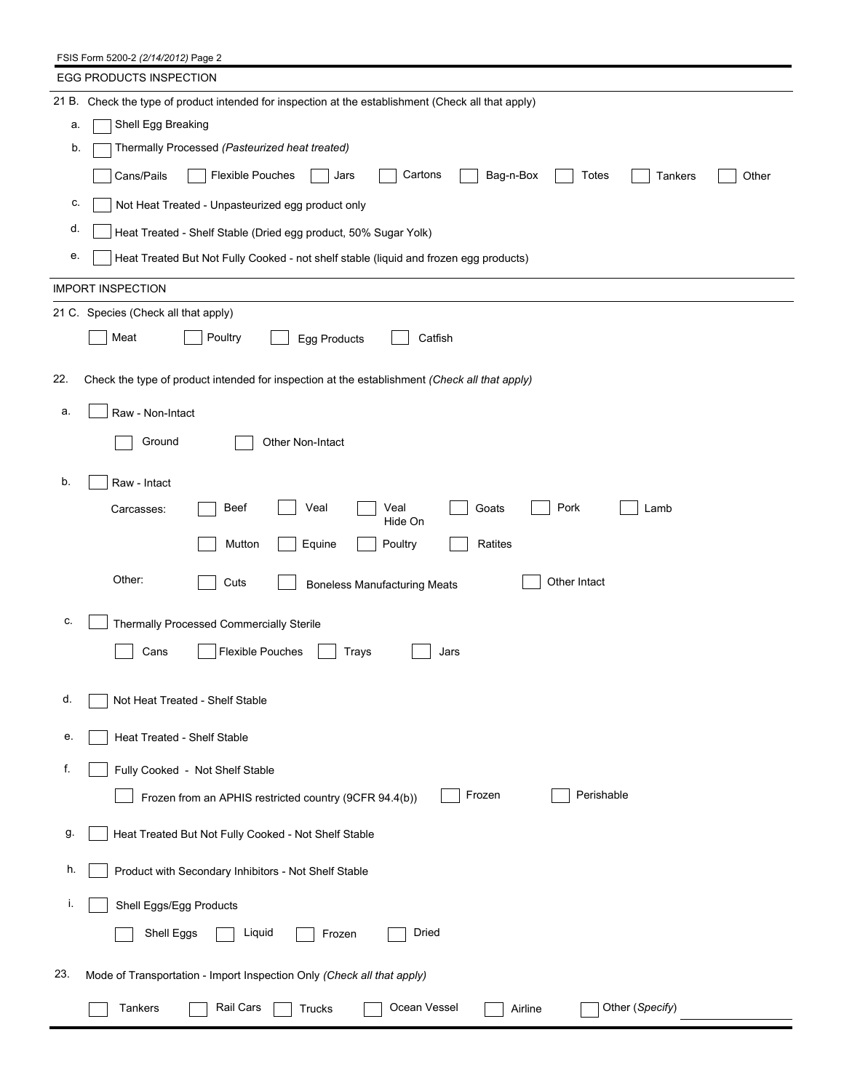FSIS Form 5200-2 *(2/14/2012)* Page 2

|     | EGG PRODUCTS INSPECTION                                                                             |  |  |  |  |
|-----|-----------------------------------------------------------------------------------------------------|--|--|--|--|
|     | 21 B. Check the type of product intended for inspection at the establishment (Check all that apply) |  |  |  |  |
| а.  | Shell Egg Breaking                                                                                  |  |  |  |  |
| b.  | Thermally Processed (Pasteurized heat treated)                                                      |  |  |  |  |
|     | <b>Flexible Pouches</b><br>Cartons<br>Bag-n-Box<br>Cans/Pails<br>Jars<br>Totes<br>Other<br>Tankers  |  |  |  |  |
| c.  | Not Heat Treated - Unpasteurized egg product only                                                   |  |  |  |  |
| d.  | Heat Treated - Shelf Stable (Dried egg product, 50% Sugar Yolk)                                     |  |  |  |  |
| е.  | Heat Treated But Not Fully Cooked - not shelf stable (liquid and frozen egg products)               |  |  |  |  |
|     | <b>IMPORT INSPECTION</b>                                                                            |  |  |  |  |
|     | 21 C. Species (Check all that apply)                                                                |  |  |  |  |
|     | Meat<br>Poultry<br>Egg Products<br>Catfish                                                          |  |  |  |  |
| 22. | Check the type of product intended for inspection at the establishment (Check all that apply)       |  |  |  |  |
| a.  | Raw - Non-Intact                                                                                    |  |  |  |  |
|     | Ground<br>Other Non-Intact                                                                          |  |  |  |  |
| b.  | Raw - Intact                                                                                        |  |  |  |  |
|     | <b>Beef</b><br>Veal<br>Veal<br>Goats<br>Pork<br>Lamb<br>Carcasses:<br>Hide On                       |  |  |  |  |
|     | Mutton<br>Equine<br>Poultry<br>Ratites                                                              |  |  |  |  |
|     | Other:<br>Other Intact<br>Cuts<br><b>Boneless Manufacturing Meats</b>                               |  |  |  |  |
| c.  | Thermally Processed Commercially Sterile                                                            |  |  |  |  |
|     | Flexible Pouches<br>Cans<br>Trays<br>Jars                                                           |  |  |  |  |
|     |                                                                                                     |  |  |  |  |
| d.  | Not Heat Treated - Shelf Stable                                                                     |  |  |  |  |
| е.  | Heat Treated - Shelf Stable                                                                         |  |  |  |  |
| f.  | Fully Cooked - Not Shelf Stable                                                                     |  |  |  |  |
|     | Frozen<br>Perishable<br>Frozen from an APHIS restricted country (9CFR 94.4(b))                      |  |  |  |  |
| g.  | Heat Treated But Not Fully Cooked - Not Shelf Stable                                                |  |  |  |  |
| h.  | Product with Secondary Inhibitors - Not Shelf Stable                                                |  |  |  |  |
| T.  | Shell Eggs/Egg Products                                                                             |  |  |  |  |
|     | Shell Eggs<br>Liquid<br>Dried<br>Frozen                                                             |  |  |  |  |
| 23. | Mode of Transportation - Import Inspection Only (Check all that apply)                              |  |  |  |  |
|     | Ocean Vessel<br>Tankers<br>Rail Cars<br>Other (Specify)<br>Trucks<br>Airline                        |  |  |  |  |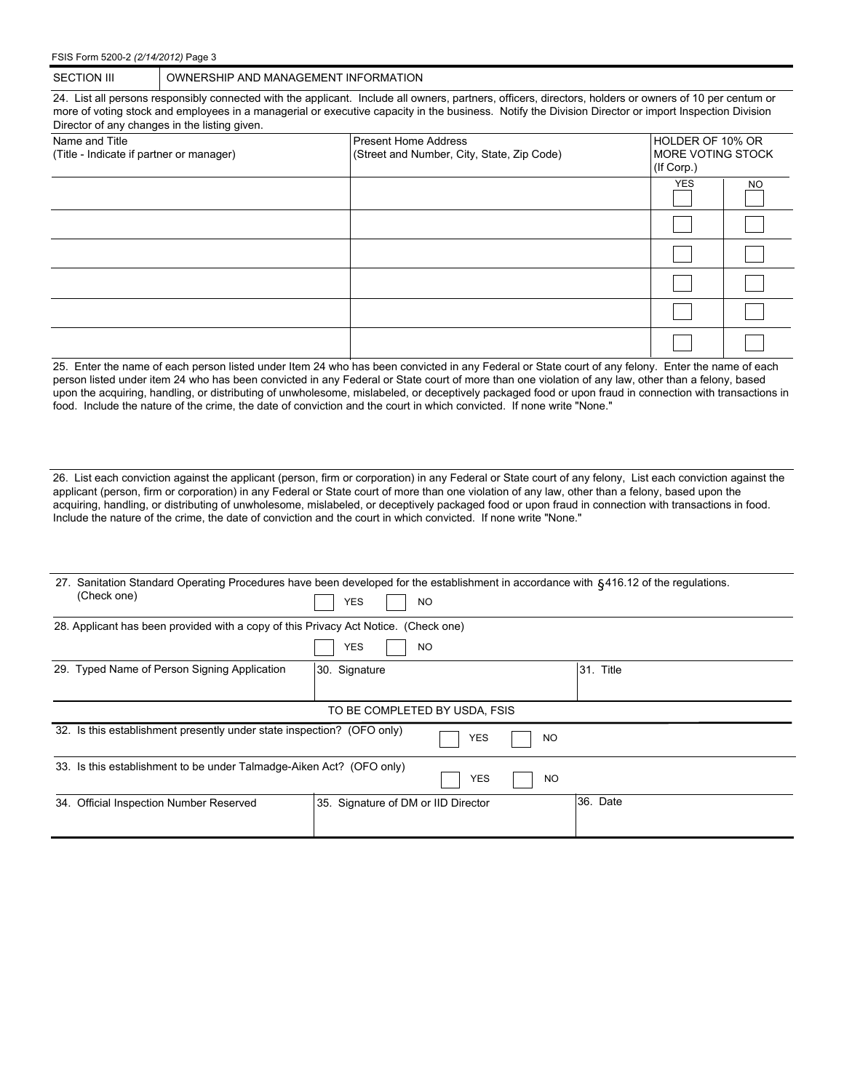FSIS Form 5200-2 *(2/14/2012)* Page 3

24. List all persons responsibly connected with the applicant. Include all owners, partners, officers, directors, holders or owners of 10 per centum or more of voting stock and employees in a managerial or executive capacity in the business. Notify the Division Director or import Inspection Division Director of any changes in the listing given.

| Name and Title<br>(Title - Indicate if partner or manager) | Present Home Address<br>(Street and Number, City, State, Zip Code) | HOLDER OF 10% OR<br>IMORE VOTING STOCK<br>(If Corp.) |           |  |  |  |
|------------------------------------------------------------|--------------------------------------------------------------------|------------------------------------------------------|-----------|--|--|--|
|                                                            |                                                                    | <b>YES</b>                                           | <b>NO</b> |  |  |  |
|                                                            |                                                                    |                                                      |           |  |  |  |
|                                                            |                                                                    |                                                      |           |  |  |  |
|                                                            |                                                                    |                                                      |           |  |  |  |
|                                                            |                                                                    |                                                      |           |  |  |  |
|                                                            |                                                                    |                                                      |           |  |  |  |

25. Enter the name of each person listed under Item 24 who has been convicted in any Federal or State court of any felony. Enter the name of each person listed under item 24 who has been convicted in any Federal or State court of more than one violation of any law, other than a felony, based upon the acquiring, handling, or distributing of unwholesome, mislabeled, or deceptively packaged food or upon fraud in connection with transactions in food. Include the nature of the crime, the date of conviction and the court in which convicted. If none write "None."

26. List each conviction against the applicant (person, firm or corporation) in any Federal or State court of any felony, List each conviction against the applicant (person, firm or corporation) in any Federal or State court of more than one violation of any law, other than a felony, based upon the acquiring, handling, or distributing of unwholesome, mislabeled, or deceptively packaged food or upon fraud in connection with transactions in food. Include the nature of the crime, the date of conviction and the court in which convicted. If none write "None."

|                                                                                               | (Check one)                                                                         | 27. Sanitation Standard Operating Procedures have been developed for the establishment in accordance with 6416.12 of the regulations.<br><b>YES</b><br><b>NO</b> |            |           |           |  |  |  |
|-----------------------------------------------------------------------------------------------|-------------------------------------------------------------------------------------|------------------------------------------------------------------------------------------------------------------------------------------------------------------|------------|-----------|-----------|--|--|--|
|                                                                                               |                                                                                     |                                                                                                                                                                  |            |           |           |  |  |  |
|                                                                                               | 28. Applicant has been provided with a copy of this Privacy Act Notice. (Check one) |                                                                                                                                                                  |            |           |           |  |  |  |
|                                                                                               |                                                                                     | YES<br><b>NO</b>                                                                                                                                                 |            |           |           |  |  |  |
|                                                                                               | 29. Typed Name of Person Signing Application                                        | 30. Signature                                                                                                                                                    |            |           | 31. Title |  |  |  |
|                                                                                               |                                                                                     |                                                                                                                                                                  |            |           |           |  |  |  |
|                                                                                               | TO BE COMPLETED BY USDA, FSIS                                                       |                                                                                                                                                                  |            |           |           |  |  |  |
|                                                                                               | 32. Is this establishment presently under state inspection? (OFO only)              |                                                                                                                                                                  | <b>YES</b> | <b>NO</b> |           |  |  |  |
| 33. Is this establishment to be under Talmadge-Aiken Act? (OFO only)<br>YES<br>N <sub>O</sub> |                                                                                     |                                                                                                                                                                  |            |           |           |  |  |  |
|                                                                                               | 34. Official Inspection Number Reserved                                             | 35. Signature of DM or IID Director                                                                                                                              |            |           | 36. Date  |  |  |  |
|                                                                                               |                                                                                     |                                                                                                                                                                  |            |           |           |  |  |  |